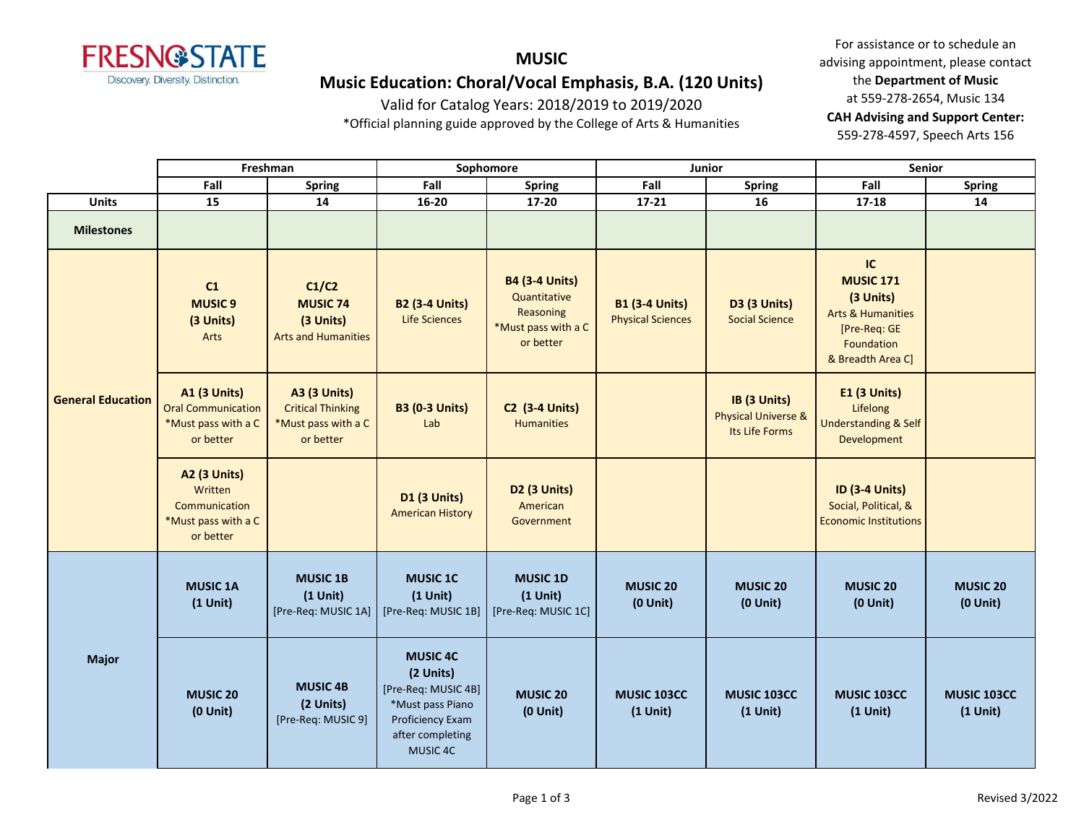

# **MUSIC Music Education: Choral/Vocal Emphasis, B.A. (120 Units)**

Valid for Catalog Years: 2018/2019 to 2019/2020

\*Official planning guide approved by the College of Arts & Humanities

|                          | Freshman                                                                             |                                                                                     | Sophomore                                                                                                                          |                                                                                        | Junior                                            |                                                                  | Senior                                                                                                                 |                                  |
|--------------------------|--------------------------------------------------------------------------------------|-------------------------------------------------------------------------------------|------------------------------------------------------------------------------------------------------------------------------------|----------------------------------------------------------------------------------------|---------------------------------------------------|------------------------------------------------------------------|------------------------------------------------------------------------------------------------------------------------|----------------------------------|
|                          | Fall                                                                                 | <b>Spring</b>                                                                       | Fall                                                                                                                               | <b>Spring</b>                                                                          | Fall                                              | <b>Spring</b>                                                    | Fall                                                                                                                   | <b>Spring</b>                    |
| <b>Units</b>             | 15                                                                                   | 14                                                                                  | $16 - 20$                                                                                                                          | 17-20                                                                                  | $17 - 21$                                         | 16                                                               | $17 - 18$                                                                                                              | 14                               |
| <b>Milestones</b>        |                                                                                      |                                                                                     |                                                                                                                                    |                                                                                        |                                                   |                                                                  |                                                                                                                        |                                  |
| <b>General Education</b> | C1<br><b>MUSIC<sub>9</sub></b><br>(3 Units)<br>Arts                                  | C1/C2<br><b>MUSIC 74</b><br>(3 Units)<br><b>Arts and Humanities</b>                 | <b>B2 (3-4 Units)</b><br><b>Life Sciences</b>                                                                                      | <b>B4 (3-4 Units)</b><br>Quantitative<br>Reasoning<br>*Must pass with a C<br>or better | <b>B1 (3-4 Units)</b><br><b>Physical Sciences</b> | D3 (3 Units)<br><b>Social Science</b>                            | IC<br><b>MUSIC 171</b><br>(3 Units)<br><b>Arts &amp; Humanities</b><br>[Pre-Req: GE<br>Foundation<br>& Breadth Area C] |                                  |
|                          | <b>A1 (3 Units)</b><br><b>Oral Communication</b><br>*Must pass with a C<br>or better | <b>A3 (3 Units)</b><br><b>Critical Thinking</b><br>*Must pass with a C<br>or better | <b>B3 (0-3 Units)</b><br>Lab                                                                                                       | <b>C2 (3-4 Units)</b><br><b>Humanities</b>                                             |                                                   | IB (3 Units)<br><b>Physical Universe &amp;</b><br>Its Life Forms | <b>E1 (3 Units)</b><br>Lifelong<br><b>Understanding &amp; Self</b><br>Development                                      |                                  |
|                          | <b>A2 (3 Units)</b><br>Written<br>Communication<br>*Must pass with a C<br>or better  |                                                                                     | <b>D1 (3 Units)</b><br><b>American History</b>                                                                                     | <b>D2 (3 Units)</b><br>American<br>Government                                          |                                                   |                                                                  | <b>ID (3-4 Units)</b><br>Social, Political, &<br><b>Economic Institutions</b>                                          |                                  |
| <b>Major</b>             | <b>MUSIC 1A</b><br>$(1$ Unit)                                                        | <b>MUSIC 1B</b><br>$(1$ Unit)<br>[Pre-Req: MUSIC 1A]                                | <b>MUSIC 1C</b><br>$(1$ Unit)<br>[Pre-Req: MUSIC 1B]                                                                               | <b>MUSIC 1D</b><br>$(1$ Unit)<br>[Pre-Req: MUSIC 1C]                                   | <b>MUSIC 20</b><br>$(0$ Unit $)$                  | <b>MUSIC 20</b><br>$(0$ Unit)                                    | <b>MUSIC 20</b><br>$(0$ Unit)                                                                                          | <b>MUSIC 20</b><br>$(0$ Unit $)$ |
|                          | <b>MUSIC 20</b><br>$(0$ Unit $)$                                                     | <b>MUSIC 4B</b><br>(2 Units)<br>[Pre-Req: MUSIC 9]                                  | <b>MUSIC 4C</b><br>(2 Units)<br>[Pre-Req: MUSIC 4B]<br>*Must pass Piano<br><b>Proficiency Exam</b><br>after completing<br>MUSIC 4C | <b>MUSIC 20</b><br>$(0$ Unit $)$                                                       | MUSIC 103CC<br>$(1$ Unit)                         | MUSIC 103CC<br>$(1$ Unit)                                        | MUSIC 103CC<br>$(1$ Unit)                                                                                              | MUSIC 103CC<br>$(1$ Unit)        |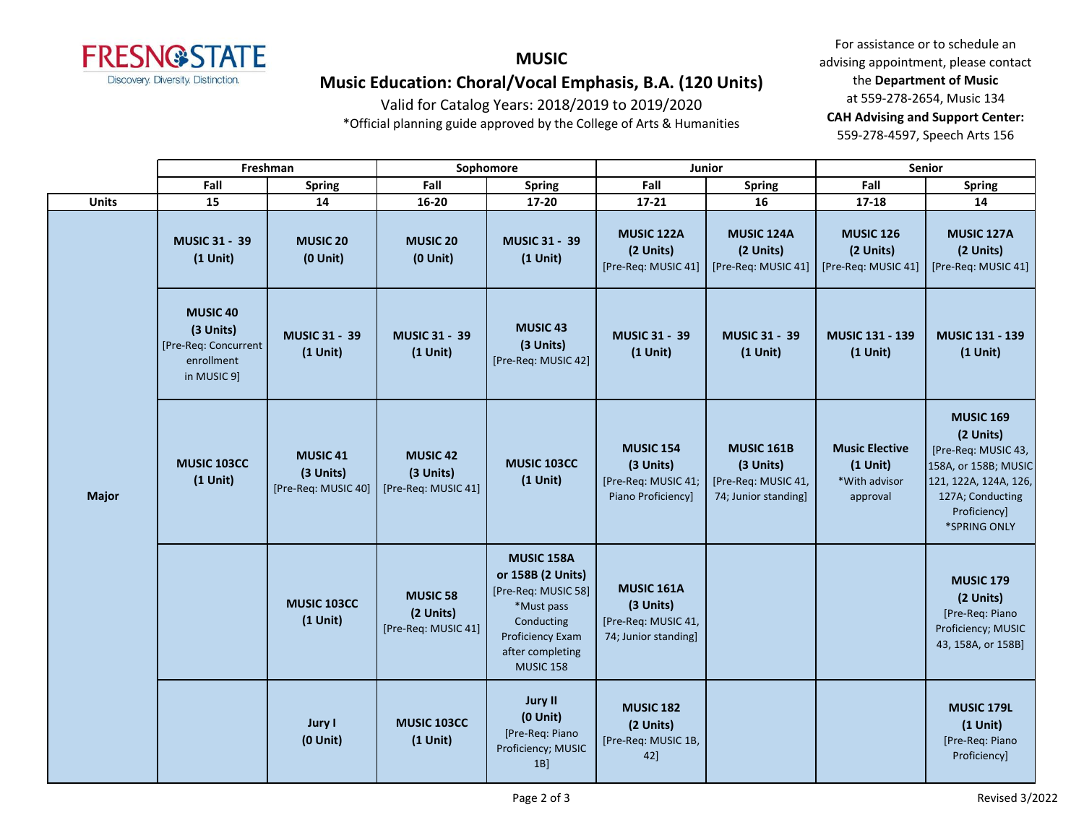

# **MUSIC Music Education: Choral/Vocal Emphasis, B.A. (120 Units)**

Valid for Catalog Years: 2018/2019 to 2019/2020

\*Official planning guide approved by the College of Arts & Humanities

|              | Freshman                                                                           |                                                     | Sophomore                                           |                                                                                                                                                | <b>Junior</b>                                                              |                                                                               | Senior                                                           |                                                                                                                                                           |
|--------------|------------------------------------------------------------------------------------|-----------------------------------------------------|-----------------------------------------------------|------------------------------------------------------------------------------------------------------------------------------------------------|----------------------------------------------------------------------------|-------------------------------------------------------------------------------|------------------------------------------------------------------|-----------------------------------------------------------------------------------------------------------------------------------------------------------|
|              | Fall                                                                               | <b>Spring</b>                                       | Fall                                                | <b>Spring</b>                                                                                                                                  | Fall                                                                       | <b>Spring</b>                                                                 | Fall                                                             | <b>Spring</b>                                                                                                                                             |
| <b>Units</b> | 15                                                                                 | 14                                                  | 16-20                                               | 17-20                                                                                                                                          | $17 - 21$                                                                  | 16                                                                            | $17 - 18$                                                        | 14                                                                                                                                                        |
|              | <b>MUSIC 31 - 39</b><br>$(1$ Unit)                                                 | <b>MUSIC 20</b><br>$(0$ Unit $)$                    | <b>MUSIC 20</b><br>$(0$ Unit $)$                    | <b>MUSIC 31 - 39</b><br>$(1$ Unit)                                                                                                             | <b>MUSIC 122A</b><br>(2 Units)<br>[Pre-Req: MUSIC 41]                      | MUSIC 124A<br>(2 Units)<br>[Pre-Req: MUSIC 41]                                | <b>MUSIC 126</b><br>(2 Units)<br>[Pre-Req: MUSIC 41]             | <b>MUSIC 127A</b><br>(2 Units)<br>[Pre-Req: MUSIC 41]                                                                                                     |
|              | <b>MUSIC 40</b><br>(3 Units)<br>[Pre-Req: Concurrent]<br>enrollment<br>in MUSIC 9] | <b>MUSIC 31 - 39</b><br>$(1$ Unit)                  | <b>MUSIC 31 - 39</b><br>$(1$ Unit)                  | <b>MUSIC 43</b><br>(3 Units)<br>[Pre-Req: MUSIC 42]                                                                                            | <b>MUSIC 31 - 39</b><br>$(1$ Unit)                                         | <b>MUSIC 31 - 39</b><br>$(1$ Unit)                                            | <b>MUSIC 131 - 139</b><br>$(1$ Unit)                             | <b>MUSIC 131 - 139</b><br>$(1$ Unit)                                                                                                                      |
| <b>Major</b> | <b>MUSIC 103CC</b><br>$(1$ Unit)                                                   | <b>MUSIC 41</b><br>(3 Units)<br>[Pre-Req: MUSIC 40] | <b>MUSIC 42</b><br>(3 Units)<br>[Pre-Req: MUSIC 41] | MUSIC 103CC<br>$(1$ Unit)                                                                                                                      | <b>MUSIC 154</b><br>(3 Units)<br>[Pre-Req: MUSIC 41;<br>Piano Proficiency] | <b>MUSIC 161B</b><br>(3 Units)<br>[Pre-Req: MUSIC 41,<br>74; Junior standing] | <b>Music Elective</b><br>$(1$ Unit)<br>*With advisor<br>approval | <b>MUSIC 169</b><br>(2 Units)<br>[Pre-Req: MUSIC 43,<br>158A, or 158B; MUSIC<br>121, 122A, 124A, 126,<br>127A; Conducting<br>Proficiency]<br>*SPRING ONLY |
|              |                                                                                    | <b>MUSIC 103CC</b><br>$(1$ Unit)                    | <b>MUSIC 58</b><br>(2 Units)<br>[Pre-Req: MUSIC 41] | MUSIC 158A<br>or 158B (2 Units)<br>[Pre-Req: MUSIC 58]<br>*Must pass<br>Conducting<br>Proficiency Exam<br>after completing<br><b>MUSIC 158</b> | MUSIC 161A<br>(3 Units)<br>[Pre-Req: MUSIC 41,<br>74; Junior standing]     |                                                                               |                                                                  | <b>MUSIC 179</b><br>(2 Units)<br>[Pre-Req: Piano<br>Proficiency; MUSIC<br>43, 158A, or 158B]                                                              |
|              |                                                                                    | <b>Jury I</b><br>$(0$ Unit $)$                      | MUSIC 103CC<br>$(1$ Unit)                           | <b>Jury II</b><br>$(0$ Unit)<br>[Pre-Req: Piano<br>Proficiency; MUSIC<br>$1B$ ]                                                                | <b>MUSIC 182</b><br>(2 Units)<br>[Pre-Req: MUSIC 1B,<br>42]                |                                                                               |                                                                  | MUSIC 179L<br>$(1$ Unit)<br>[Pre-Req: Piano<br>Proficiency]                                                                                               |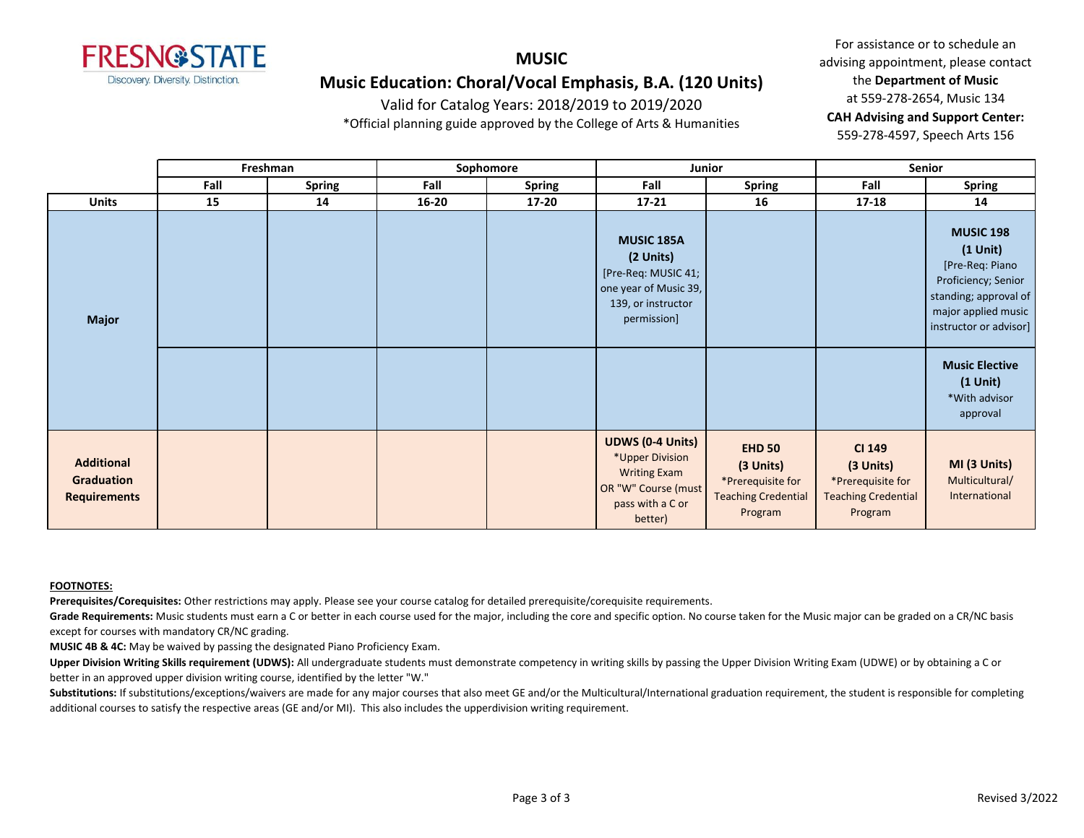

### **MUSIC Music Education: Choral/Vocal Emphasis, B.A. (120 Units)**

Valid for Catalog Years: 2018/2019 to 2019/2020

\*Official planning guide approved by the College of Arts & Humanities

For assistance or to schedule an advising appointment, please contact the **Department of Music** at 559-278-2654, Music 134 **CAH Advising and Support Center:**  559-278-4597, Speech Arts 156

|                                                        |      | Freshman<br>Sophomore<br>Junior |           | <b>Senior</b> |                                                                                                                         |                                                                                          |                                                                                          |                                                                                                                                                       |
|--------------------------------------------------------|------|---------------------------------|-----------|---------------|-------------------------------------------------------------------------------------------------------------------------|------------------------------------------------------------------------------------------|------------------------------------------------------------------------------------------|-------------------------------------------------------------------------------------------------------------------------------------------------------|
|                                                        | Fall | <b>Spring</b>                   | Fall      | <b>Spring</b> | Fall                                                                                                                    | <b>Spring</b>                                                                            | Fall                                                                                     | <b>Spring</b>                                                                                                                                         |
| <b>Units</b>                                           | 15   | 14                              | $16 - 20$ | $17 - 20$     | $17 - 21$                                                                                                               | 16                                                                                       | $17 - 18$                                                                                | 14                                                                                                                                                    |
| <b>Major</b>                                           |      |                                 |           |               | <b>MUSIC 185A</b><br>(2 Units)<br>[Pre-Req: MUSIC 41;<br>one year of Music 39,<br>139, or instructor<br>permission]     |                                                                                          |                                                                                          | <b>MUSIC 198</b><br>$(1$ Unit $)$<br>[Pre-Req: Piano<br>Proficiency; Senior<br>standing; approval of<br>major applied music<br>instructor or advisor] |
|                                                        |      |                                 |           |               |                                                                                                                         |                                                                                          |                                                                                          | <b>Music Elective</b><br>$(1$ Unit)<br>*With advisor<br>approval                                                                                      |
| <b>Additional</b><br>Graduation<br><b>Requirements</b> |      |                                 |           |               | <b>UDWS (0-4 Units)</b><br>*Upper Division<br><b>Writing Exam</b><br>OR "W" Course (must<br>pass with a C or<br>better) | <b>EHD 50</b><br>(3 Units)<br>*Prerequisite for<br><b>Teaching Credential</b><br>Program | <b>CI 149</b><br>(3 Units)<br>*Prerequisite for<br><b>Teaching Credential</b><br>Program | MI (3 Units)<br>Multicultural/<br>International                                                                                                       |

#### **FOOTNOTES:**

**Prerequisites/Corequisites:** Other restrictions may apply. Please see your course catalog for detailed prerequisite/corequisite requirements.

Grade Requirements: Music students must earn a C or better in each course used for the major, including the core and specific option. No course taken for the Music major can be graded on a CR/NC basis except for courses with mandatory CR/NC grading.

**MUSIC 4B & 4C:** May be waived by passing the designated Piano Proficiency Exam.

**Upper Division Writing Skills requirement (UDWS):** All undergraduate students must demonstrate competency in writing skills by passing the Upper Division Writing Exam (UDWE) or by obtaining a C or better in an approved upper division writing course, identified by the letter "W."

Substitutions: If substitutions/exceptions/waivers are made for any major courses that also meet GE and/or the Multicultural/International graduation requirement, the student is responsible for completing additional courses to satisfy the respective areas (GE and/or MI). This also includes the upperdivision writing requirement.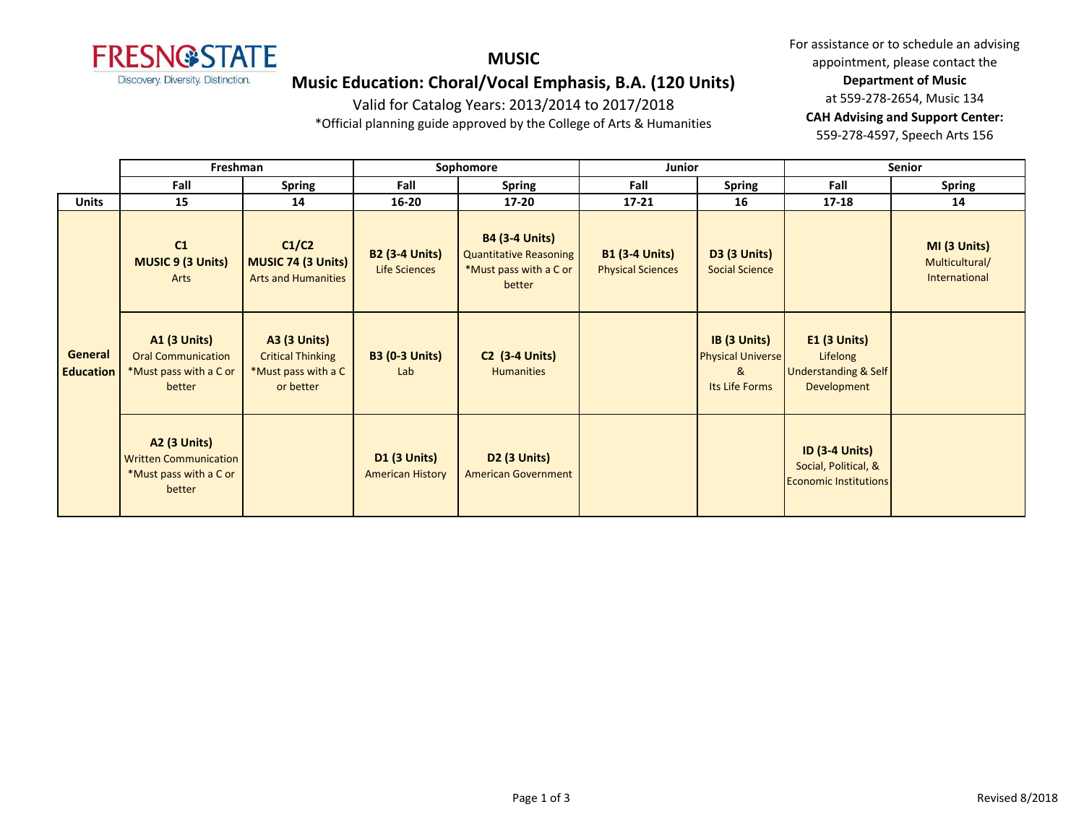

### **MUSIC**

## **Music Education: Choral/Vocal Emphasis, B.A. (120 Units)**

Valid for Catalog Years: 2013/2014 to 2017/2018

\*Official planning guide approved by the College of Arts & Humanities

|                             | Freshman                                                                             |                                                                                     | Sophomore                                      |                                                                                            | Junior                                            |                                                                 | <b>Senior</b>                                                                 |                                                 |
|-----------------------------|--------------------------------------------------------------------------------------|-------------------------------------------------------------------------------------|------------------------------------------------|--------------------------------------------------------------------------------------------|---------------------------------------------------|-----------------------------------------------------------------|-------------------------------------------------------------------------------|-------------------------------------------------|
|                             | Fall                                                                                 | <b>Spring</b>                                                                       | Fall                                           | <b>Spring</b>                                                                              | Fall                                              | <b>Spring</b>                                                   | Fall                                                                          | <b>Spring</b>                                   |
| <b>Units</b>                | 15                                                                                   | 14                                                                                  | $16 - 20$                                      | $17 - 20$                                                                                  | $17 - 21$                                         | 16                                                              | $17 - 18$                                                                     | 14                                              |
| General<br><b>Education</b> | C1<br><b>MUSIC 9 (3 Units)</b><br>Arts                                               | C1/C2<br><b>MUSIC 74 (3 Units)</b><br><b>Arts and Humanities</b>                    | <b>B2 (3-4 Units)</b><br>Life Sciences         | <b>B4 (3-4 Units)</b><br><b>Quantitative Reasoning</b><br>*Must pass with a C or<br>better | <b>B1 (3-4 Units)</b><br><b>Physical Sciences</b> | <b>D3 (3 Units)</b><br><b>Social Science</b>                    |                                                                               | MI (3 Units)<br>Multicultural/<br>International |
|                             | <b>A1 (3 Units)</b><br><b>Oral Communication</b><br>*Must pass with a C or<br>better | <b>A3 (3 Units)</b><br><b>Critical Thinking</b><br>*Must pass with a C<br>or better | <b>B3 (0-3 Units)</b><br>Lab                   | <b>C2 (3-4 Units)</b><br><b>Humanities</b>                                                 |                                                   | IB (3 Units)<br><b>Physical Universe</b><br>&<br>Its Life Forms | $E1$ (3 Units)<br>Lifelong<br><b>Understanding &amp; Self</b><br>Development  |                                                 |
|                             | A2 (3 Units)<br><b>Written Communication</b><br>*Must pass with a C or<br>better     |                                                                                     | <b>D1 (3 Units)</b><br><b>American History</b> | D <sub>2</sub> (3 Units)<br><b>American Government</b>                                     |                                                   |                                                                 | <b>ID (3-4 Units)</b><br>Social, Political, &<br><b>Economic Institutions</b> |                                                 |

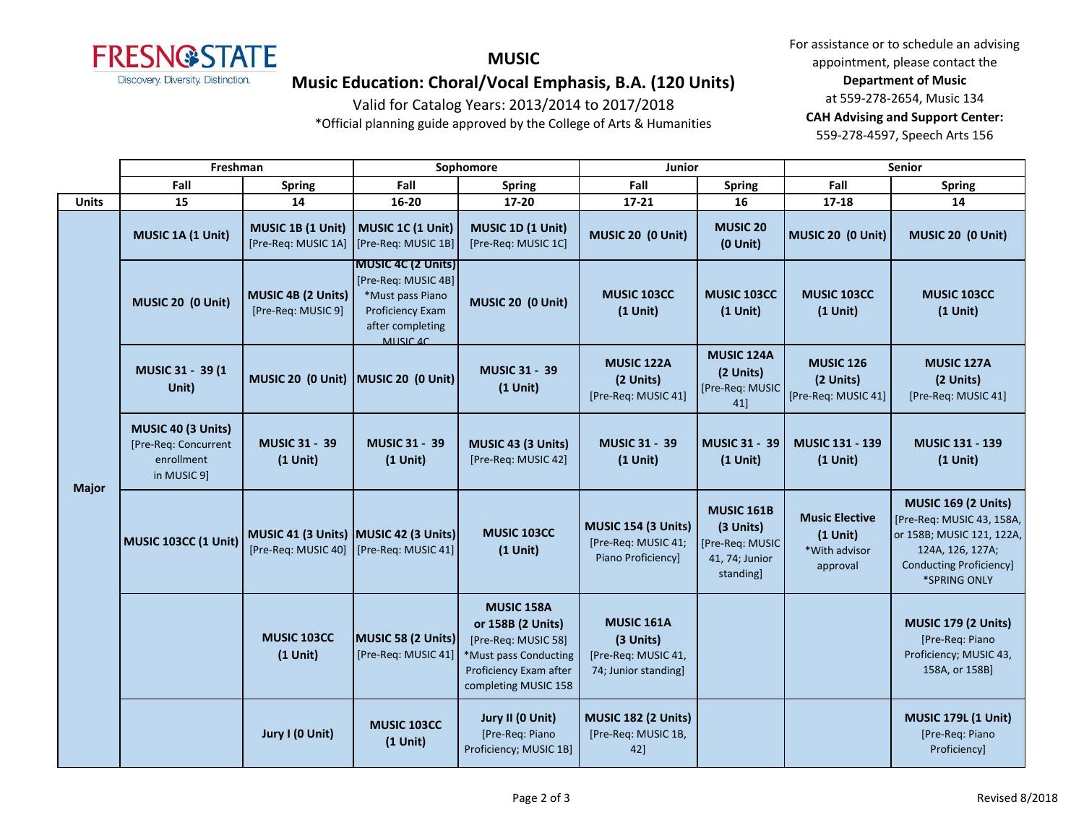

### **MUSIC**

# **Music Education: Choral/Vocal Emphasis, B.A. (120 Units)**

Valid for Catalog Years: 2013/2014 to 2017/2018

\*Official planning guide approved by the College of Arts & Humanities

|              | Freshman                                                                |                                                              | Sophomore                                                                                                                |                                                                                                                                   | Junior                                                                        |                                                                                  | <b>Senior</b>                                                    |                                                                                                                                                            |
|--------------|-------------------------------------------------------------------------|--------------------------------------------------------------|--------------------------------------------------------------------------------------------------------------------------|-----------------------------------------------------------------------------------------------------------------------------------|-------------------------------------------------------------------------------|----------------------------------------------------------------------------------|------------------------------------------------------------------|------------------------------------------------------------------------------------------------------------------------------------------------------------|
|              | Fall                                                                    | <b>Spring</b>                                                | Fall                                                                                                                     | <b>Spring</b>                                                                                                                     | Fall                                                                          | <b>Spring</b>                                                                    | Fall                                                             | <b>Spring</b>                                                                                                                                              |
| <b>Units</b> | 15                                                                      | 14                                                           | 16-20                                                                                                                    | 17-20                                                                                                                             | $17 - 21$                                                                     | 16                                                                               | 17-18                                                            | 14                                                                                                                                                         |
| <b>Major</b> | MUSIC 1A (1 Unit)                                                       | MUSIC 1B (1 Unit)<br>[Pre-Req: MUSIC 1A]                     | MUSIC 1C (1 Unit)<br>[Pre-Req: MUSIC 1B]                                                                                 | MUSIC 1D (1 Unit)<br>[Pre-Req: MUSIC 1C]                                                                                          | MUSIC 20 (0 Unit)                                                             | <b>MUSIC 20</b><br>$(0$ Unit $)$                                                 | MUSIC 20 (0 Unit)                                                | MUSIC 20 (0 Unit)                                                                                                                                          |
|              | MUSIC 20 (0 Unit)                                                       | MUSIC 4B (2 Units)<br>[Pre-Req: MUSIC 9]                     | <b>MUSIC 4C (2 Units)</b><br>[Pre-Req: MUSIC 4B]<br>*Must pass Piano<br>Proficiency Exam<br>after completing<br>MUSIC 4C | MUSIC 20 (0 Unit)                                                                                                                 | MUSIC 103CC<br>$(1$ Unit)                                                     | MUSIC 103CC<br>$(1$ Unit)                                                        | MUSIC 103CC<br>$(1$ Unit)                                        | <b>MUSIC 103CC</b><br>$(1$ Unit)                                                                                                                           |
|              | MUSIC 31 - 39 (1<br>Unit)                                               | MUSIC 20 (0 Unit) MUSIC 20 (0 Unit)                          |                                                                                                                          | <b>MUSIC 31 - 39</b><br>$(1$ Unit)                                                                                                | MUSIC 122A<br>(2 Units)<br>[Pre-Req: MUSIC 41]                                | MUSIC 124A<br>(2 Units)<br>[Pre-Req: MUSIC<br>41]                                | <b>MUSIC 126</b><br>(2 Units)<br>[Pre-Req: MUSIC 41]             | MUSIC 127A<br>(2 Units)<br>[Pre-Req: MUSIC 41]                                                                                                             |
|              | MUSIC 40 (3 Units)<br>[Pre-Req: Concurrent<br>enrollment<br>in MUSIC 9] | <b>MUSIC 31 - 39</b><br>$(1$ Unit)                           | <b>MUSIC 31 - 39</b><br>$(1$ Unit)                                                                                       | MUSIC 43 (3 Units)<br>[Pre-Req: MUSIC 42]                                                                                         | <b>MUSIC 31 - 39</b><br>$(1$ Unit)                                            | <b>MUSIC 31 - 39</b><br>$(1$ Unit)                                               | <b>MUSIC 131 - 139</b><br>$(1$ Unit)                             | <b>MUSIC 131 - 139</b><br>$(1$ Unit)                                                                                                                       |
|              | MUSIC 103CC (1 Unit)                                                    | MUSIC 41 (3 Units) MUSIC 42 (3 Units)<br>[Pre-Req: MUSIC 40] | [Pre-Req: MUSIC 41]                                                                                                      | <b>MUSIC 103CC</b><br>$(1$ Unit)                                                                                                  | MUSIC 154 (3 Units)<br>[Pre-Req: MUSIC 41;<br>Piano Proficiency]              | <b>MUSIC 161B</b><br>(3 Units)<br>[Pre-Req: MUSIC<br>41, 74; Junior<br>standing] | <b>Music Elective</b><br>$(1$ Unit)<br>*With advisor<br>approval | <b>MUSIC 169 (2 Units)</b><br>[Pre-Req: MUSIC 43, 158A,<br>or 158B; MUSIC 121, 122A,<br>124A, 126, 127A;<br><b>Conducting Proficiency]</b><br>*SPRING ONLY |
|              |                                                                         | MUSIC 103CC<br>$(1$ Unit)                                    | MUSIC 58 (2 Units)<br>[Pre-Req: MUSIC 41]                                                                                | MUSIC 158A<br>or 158B (2 Units)<br>[Pre-Req: MUSIC 58]<br>*Must pass Conducting<br>Proficiency Exam after<br>completing MUSIC 158 | <b>MUSIC 161A</b><br>(3 Units)<br>[Pre-Req: MUSIC 41,<br>74; Junior standing] |                                                                                  |                                                                  | <b>MUSIC 179 (2 Units)</b><br>[Pre-Req: Piano<br>Proficiency; MUSIC 43,<br>158A, or 158B]                                                                  |
|              |                                                                         | Jury I (0 Unit)                                              | <b>MUSIC 103CC</b><br>$(1$ Unit)                                                                                         | Jury II (0 Unit)<br>[Pre-Req: Piano<br>Proficiency; MUSIC 1B]                                                                     | <b>MUSIC 182 (2 Units)</b><br>[Pre-Req: MUSIC 1B,<br>42]                      |                                                                                  |                                                                  | <b>MUSIC 179L (1 Unit)</b><br>[Pre-Req: Piano<br>Proficiency]                                                                                              |